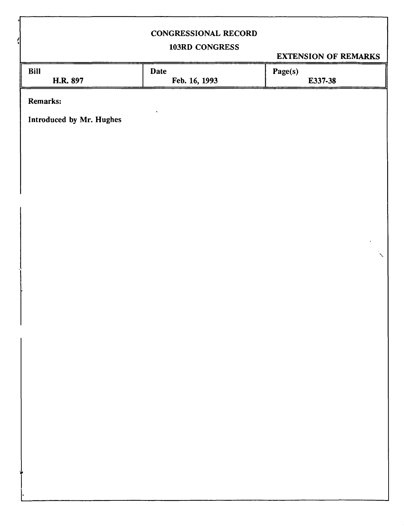# **CONGRESSIONAL RECORD**

# **103RD CONGRESS**

**EXTENSION OF REMARKS** 

**v** 

| Bill     | Date          | Page(s) |  |
|----------|---------------|---------|--|
| H.R. 897 | Feb. 16, 1993 | E337-38 |  |
|          |               |         |  |

**Remarks:** 

**Introduced by Mr. Hughes**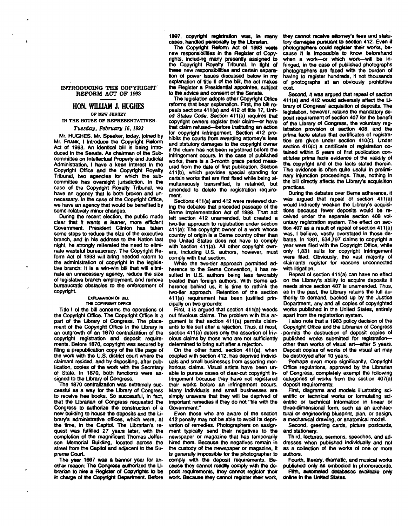### **INTRODUCING THE COPYRIGHT REFORM ACT OF 1993**

A

## **HON. WILLIAM J. HUGHES OP HEW JERSEY**

**IN THE HOUSE OF REPRESENTATIVES** 

### *Tuesday, February 16,1993*

**Mr. HUGHES. Mr. Speaker, today, joined by Mr. FRANK, I introduce the Copyright Reform Act of 1993. An Identical bill is being Introduced in the Senate. As chairman of the Subcommittee on Intellectual Property and Judicial Administration, I have a keen interest In the Copyright Office and the Copyright Royalty Tribunal, two agencies for which the subcommittee has oversight jurisdiction. In the case of the Copyright Royalty Tribunal, we have an agency that is both broken and unnecessary. In the case of the Copyright Office, we have an agency that would be benefited by some relatively minor changes.** 

**During the recent election, the public made dear that it wants a leaner, more efficient Government. President Clinton has taken some steps to reduce the size of the executive branch, and in his address to the Nation last night, he strongly reiterated the need to eliminate wasteful bureaucracy. The Copyright Reform Act of 1993 will bring needed reform to the administration of copyright in the legislative branch: It is a win-win bill that will eliminate an unnecessary agency, reduce the size of legislative branch employment, and remove bureaucratic obstacles to the enforcement of copyright** 

#### **EXPLANATION OF BILL THE COPYRIGHT OFFICE**

**Title I of the bill concerns the operations of the Copyright Office. The Copyright Office is a part of the Library of Congress. The placement of the Copyright Office In the Library is an outgrowth of an 1870 centralization of the copyright registration and deposit requirements. Before 1870, copyright was secured by**  filing a prepublication copy of the title page of **the work with the U.S. district court where the claimant resided, and by depositing, after publication, copies of the work with the Secretary of State. In 1870, both functions were assigned to the Library of Congress.** 

**The 1870 centralization was extremely successful as a way for the Library of Congress to receive free books. So successful, in fact, that the Librarian of Congress requested the Congress to authorize the construction of a new building to house the deposits and the Library's administrative offices, which were, at the time, in the Capitol. The Librarian's request was fulfilled 27 years later, with the completion of the magnificent Thomas Jefferson Memorial Building, located across the street from the Capitol and adjacent to the Supreme Court.** 

**The year 1897 was a banner year for another reason: The Congress authorized the Librarian to hire a Register of Copyrights to be in charge of the Copyright Department. Before** 

**1887, copyright registration was. In many cases, handled personally by the Librarian.** 

**The Copyright Reform Act of 1993 wests new responsibilities in the Register of Copyrights, including many presently assigned to the Copyright Royalty Tribunal. In light of these new responsibilities and certain separation of power issues discussed below in my**  explanation of title II of the bill, the act makes **the Register a Presidential appointee, subject to the advice and consent of the Senate.** 

**The legislation adopts other Copyright Office reforms that bear explanation. First, the bill repeals sections 411(a) and 412 of title 17, United States Code. Section 411(a) requires that copyright owners register their claim—or have that claim refused—before Instituting an action**  for copyright **Infringement**. Section 412 pro**hibits the courts from awarding attorney's fees and statutory damages to the copyright owner if the claim has not been registered before the infringement occurs. In the case of published works, there Is a 3-month grace period measured from the date of first publication. Section 411(b), which provides special standing for certain works that are first fixed while being simultaneously transmitted, is retained, but amended to delete the registration requirement** 

**Sections 411(a) and 412 were reviewed during the debates that preceded passage of the Beme Implementation Act of 1988. That act left section 412 unamended, but created a two-tier approach to registration under section 411(a): The copyright owner of a work whose country of origin is a Beme country other than the United States does not have to comply with section 411(a). All other copyright owners, including U.S. authors, however, must comply with that section.** 

**While the two-tier approach permitted adherence to the Beme Convention, it has resulted in U.S. authors being less favorably treated than foreign authors. With Beme adherence behind us, it is time to rethink the two-tier approach. Retention of the section 411(a) requirement has been justified principally on two grounds:** 

**First, ft is argued that section 411(a) weeds out frivolous claims. The problem with this argument is that section 411(a) permits claim**ants to file suit after a rejection. Thus, at most, **section 411 (a) deters only the assertion of frivolous claims by those who are not sufficiently determined to bring suit after a rejection.** 

**On the other hand, section 411(a), when coupled with section 412, has deprived individuals and small businesses from asserting meritorious claims. Visual artists have been unable to pursue cases of clear-cut copyright infringement because they have not registered their works before an infringement occurs. Many individuals and small businesses are simply unaware that they will be deprived of important remedies if they do not "file with the Government."** 

**Even those who are aware of the section 412 penalty may not be able to avoid its deprivation of remedies. Photographers on assignment typically send their negatives to the newspaper or magazine that has temporarily hired them. Because the negatives remain In the custody of the newspaper or magazine, it is generally impossible for the photographer to comply with the deposit requirements. Because they cannot readily comply wHh the deposit requirements, they cannot register their work. Because they cannot register their work.** 

**they cannot receive attorney's fees and statu**tory damages pursuant to section 412. Even if **photographers could register their works, because It Is impossible to know beforehand when a work—or which work—will be infringed, in the case of published photographs photographers are faced with the burden of having to register hundreds, if not thousands of photographs at an obviously prohibitive cost** 

**Second, It was argued that repeal of section 411(a) and 412 would adversely affect the Library of Congress' acquisition of deposits. The legislation, however, retains the mandatory deposit requirement of section 407 for the benefit of the Library of Congress, the voluntary registration provision of section 408, and the prima facie status that certificates of registration are given under section 410(c). Under section 410(c) a certificate of registration obtained within S years of first publication constitutes prima facie evidence of the validity of the copyright and of the facts stated therein. This evidence is often quite useful in preliminary injunction proceedings. Thus, nothing in the bill directly affects the Library's acquisition practices.** 

**During the debates over Beme adherence, it was argued that repeal of section 411(a)**  would indirectly weaken the Library's acquisi**tions because fewer deposits would be received under the separate section 408 voluntary registration system. The effect on section 407 as a result of repeal of section 411(a)**  was, I believe, vastly overstated in those de**bates. In 1991, 634,797 claims to copyright a year were filed with the Copyright Office, while only 1,831 suits for copyright infringement were filed. Obviously, the vast majority of claimants register for reasons unconnected with litigation.** 

**Repeal of section 411(a) can have no effect on the Library's ability to acquire deposits it needs since section 407 is unamended. Thus, as in the past, the Library retains the full authority to demand, backed up by the Justice**  Department, any and ail copies of copyrighted **works published in the United States, entirely apart from the registration system.** 

**I also note that a 1983 policy decision of the Copyright Office and the Librarian of Congress .permits the destruction of deposit copies of published works submitted for registrationother than works of visual art—after 5 years. Deposit copies of works of the visual art may be destroyed after 10 years.** 

**Perhaps even more significantly, Copyright Office regulations, approved by the Librarian of Congress, completely exempt the following categories of works from the section 407(a) deposit requirements:** 

**First diagrams and models illustrating scientific or technical works or formulating scientific or technical information in linear or three-dimensional form, such as an architectural or engineering blueprint, plan, or design, a mechanical drawing, or anatomical model.** 

**Second, greeting cards, picture postcards, and stationery.** 

**Third, lectures, sermons, speeches, and addresses when published individually and not as a collection of the works of one or more authors.** 

**Fourth, literary, dramatic, and musical works published only as embodied In phonorecords. Fifth, automated databases available only** 

**online in tie United States.**